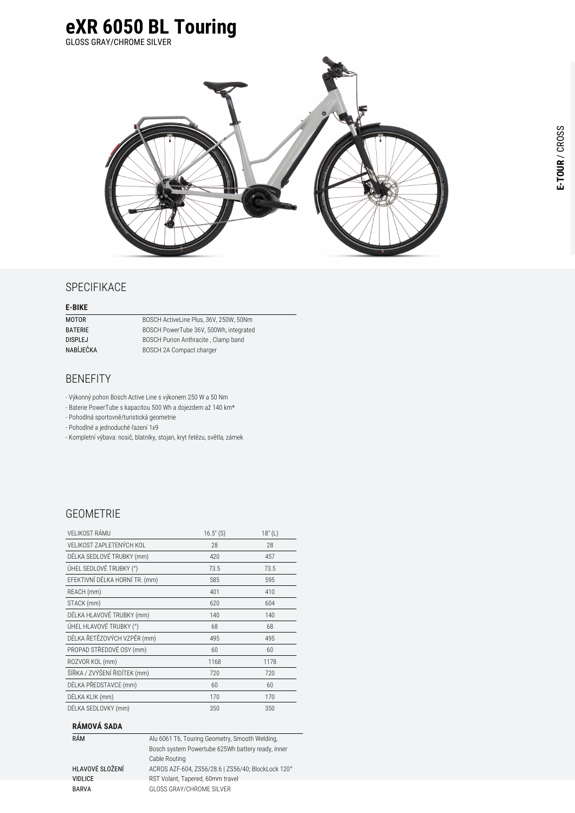

### **SPECIFIKACE**

#### **E-BIKE**

| MOTOR     | <b>BOSCH</b> |
|-----------|--------------|
| BATERIE   | <b>BOSCH</b> |
| DISPLEJ   | <b>BOSCH</b> |
| NABÍJEČKA | <b>BOSCH</b> |
|           |              |

ActiveLine Plus, 36V, 250W, 50Nm PowerTube 36V, 500Wh, integrated Purion Anthracite, Clamp band 2A Compact charger

# BENEFITY

- Výkonný pohon Bosch Active Line s výkonem 250 W a 50 Nm

- Baterie PowerTube s kapacitou 500 Wh a dojezdem až 140 km\*

- Pohodlná sportovně/turistická geometrie

- Pohodlné a jednoduché řazení 1x9

- Kompletní výbava: nosič, blatníky, stojan, kryt řetězu, světla, zámek

## GEOMETRIE

| VELIKOST RÁMU                  | $16.5''$ (S) | 18" (L) |
|--------------------------------|--------------|---------|
| VELIKOST ZAPLETENÝCH KOL       | 28           | 28      |
| DÉLKA SEDLOVÉ TRUBKY (mm)      | 420          | 457     |
| ÚHEL SEDLOVÉ TRUBKY (°)        | 73.5         | 73.5    |
| EFEKTIVNÍ DÉLKA HORNÍ TR. (mm) | 585          | 595     |
| REACH (mm)                     | 401          | 410     |
| STACK (mm)                     | 620          | 604     |
| DÉLKA HLAVOVÉ TRUBKY (mm)      | 140          | 140     |
| ÚHEL HLAVOVÉ TRUBKY (°)        | 68           | 68      |
| DÉLKA ŘETĚZOVÝCH VZPĚR (mm)    | 495          | 495     |
| PROPAD STŘEDOVÉ OSY (mm)       | 60           | 60      |
| ROZVOR KOL (mm)                | 1168         | 1178    |
| ŠÍŘKA / ZVÝŠENÍ ŘIDÍTEK (mm)   | 720          | 720     |
| DÉLKA PŘEDSTAVCE (mm)          | 60           | 60      |
| DÉLKA KLIK (mm)                | 170          | 170     |
| DÉLKA SEDLOVKY (mm)            | 350          | 350     |

#### **RÁMOVÁ SADA**

| RÁM             | Alu 6061 T6, Touring Geometry, Smooth Welding,     |
|-----------------|----------------------------------------------------|
|                 | Bosch system Powertube 625Wh battery ready, Inner  |
|                 | Cable Routing                                      |
| HLAVOVÉ SLOŽENÍ | ACROS AZF-604, ZS56/28.6   ZS56/40; BlockLock 120° |
| <b>VIDLICE</b>  | RST Volant, Tapered, 60mm travel                   |
| <b>BARVA</b>    | GLOSS GRAY/CHROME SILVER                           |
|                 |                                                    |